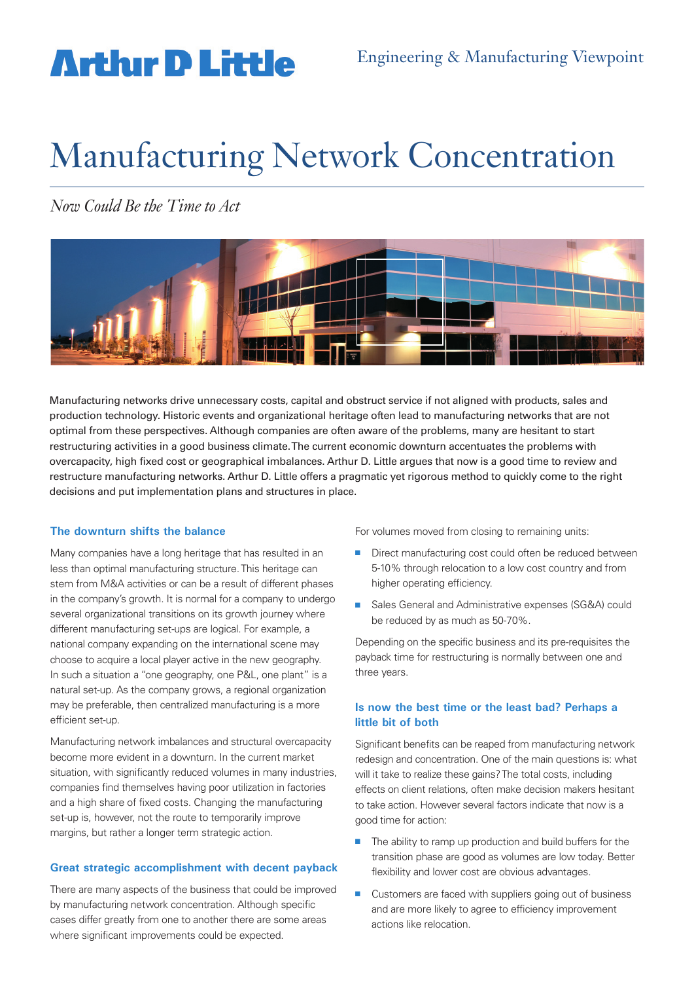# Manufacturing Network Concentration

*Now Could Be the Time to Act*



Manufacturing networks drive unnecessary costs, capital and obstruct service if not aligned with products, sales and production technology. Historic events and organizational heritage often lead to manufacturing networks that are not optimal from these perspectives. Although companies are often aware of the problems, many are hesitant to start restructuring activities in a good business climate. The current economic downturn accentuates the problems with overcapacity, high fixed cost or geographical imbalances. Arthur D. Little argues that now is a good time to review and restructure manufacturing networks. Arthur D. Little offers a pragmatic yet rigorous method to quickly come to the right decisions and put implementation plans and structures in place.

### **The downturn shifts the balance**

Many companies have a long heritage that has resulted in an less than optimal manufacturing structure. This heritage can stem from M&A activities or can be a result of different phases in the company's growth. It is normal for a company to undergo several organizational transitions on its growth journey where different manufacturing set-ups are logical. For example, a national company expanding on the international scene may choose to acquire a local player active in the new geography. In such a situation a "one geography, one P&L, one plant" is a natural set-up. As the company grows, a regional organization may be preferable, then centralized manufacturing is a more efficient set-up.

Manufacturing network imbalances and structural overcapacity become more evident in a downturn. In the current market situation, with significantly reduced volumes in many industries, companies find themselves having poor utilization in factories and a high share of fixed costs. Changing the manufacturing set-up is, however, not the route to temporarily improve margins, but rather a longer term strategic action.

### **Great strategic accomplishment with decent payback**

There are many aspects of the business that could be improved by manufacturing network concentration. Although specific cases differ greatly from one to another there are some areas where significant improvements could be expected.

For volumes moved from closing to remaining units:

- Direct manufacturing cost could often be reduced between 5-10% through relocation to a low cost country and from higher operating efficiency.
- Sales General and Administrative expenses (SG&A) could be reduced by as much as 50-70%.

Depending on the specific business and its pre-requisites the payback time for restructuring is normally between one and three years.

### **Is now the best time or the least bad? Perhaps a little bit of both**

Significant benefits can be reaped from manufacturing network redesign and concentration. One of the main questions is: what will it take to realize these gains? The total costs, including effects on client relations, often make decision makers hesitant to take action. However several factors indicate that now is a good time for action:

- $\blacksquare$  The ability to ramp up production and build buffers for the transition phase are good as volumes are low today. Better flexibility and lower cost are obvious advantages.
- Customers are faced with suppliers going out of business and are more likely to agree to efficiency improvement actions like relocation.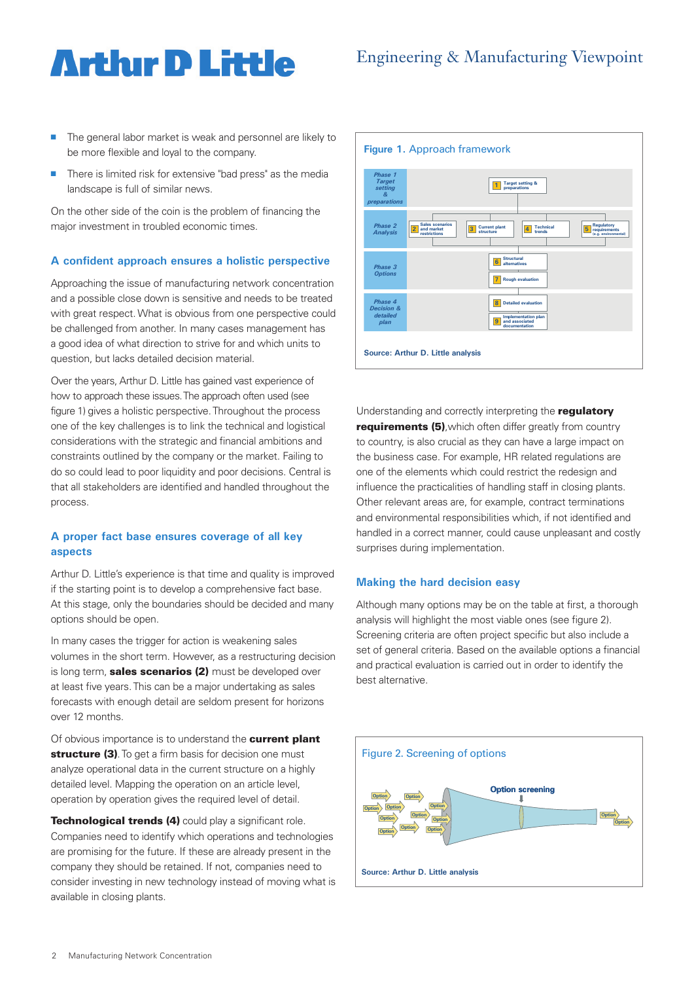- $\blacksquare$  The general labor market is weak and personnel are likely to be more flexible and loyal to the company.
- There is limited risk for extensive "bad press" as the media landscape is full of similar news.

On the other side of the coin is the problem of financing the major investment in troubled economic times.

### A confident approach ensures a holistic perspective

Approaching the issue of manufacturing network concentration and a possible close down is sensitive and needs to be treated with great respect. What is obvious from one perspective could be challenged from another. In many cases management has a good idea of what direction to strive for and which units to question, but lacks detailed decision material.

Over the years, Arthur D. Little has gained vast experience of how to approach these issues. The approach often used (see figure 1) gives a holistic perspective. Throughout the process one of the key challenges is to link the technical and logistical considerations with the strategic and financial ambitions and constraints outlined by the company or the market. Failing to do so could lead to poor liquidity and poor decisions. Central is that all stakeholders are identified and handled throughout the process.

### **A proper fact base ensures coverage of all key aspects**

Arthur D. Little's experience is that time and quality is improved if the starting point is to develop a comprehensive fact base. At this stage, only the boundaries should be decided and many options should be open.

In many cases the trigger for action is weakening sales volumes in the short term. However, as a restructuring decision is long term, **sales scenarios (2)** must be developed over at least five years. This can be a major undertaking as sales forecasts with enough detail are seldom present for horizons over 12 months.

Of obvious importance is to understand the **current plant structure (3)**. To get a firm basis for decision one must analyze operational data in the current structure on a highly detailed level. Mapping the operation on an article level, operation by operation gives the required level of detail.

**Technological trends (4)** could play a significant role. Companies need to identify which operations and technologies are promising for the future. If these are already present in the company they should be retained. If not, companies need to consider investing in new technology instead of moving what is available in closing plants.



Understanding and correctly interpreting the **regulatory requirements (5)**, which often differ greatly from country to country, is also crucial as they can have a large impact on the business case. For example, HR related regulations are one of the elements which could restrict the redesign and influence the practicalities of handling staff in closing plants. Other relevant areas are, for example, contract terminations and environmental responsibilities which, if not identified and handled in a correct manner, could cause unpleasant and costly surprises during implementation.

### **Making the hard decision easy**

Although many options may be on the table at first, a thorough analysis will highlight the most viable ones (see figure 2). Screening criteria are often project specific but also include a set of general criteria. Based on the available options a financial and practical evaluation is carried out in order to identify the best alternative.

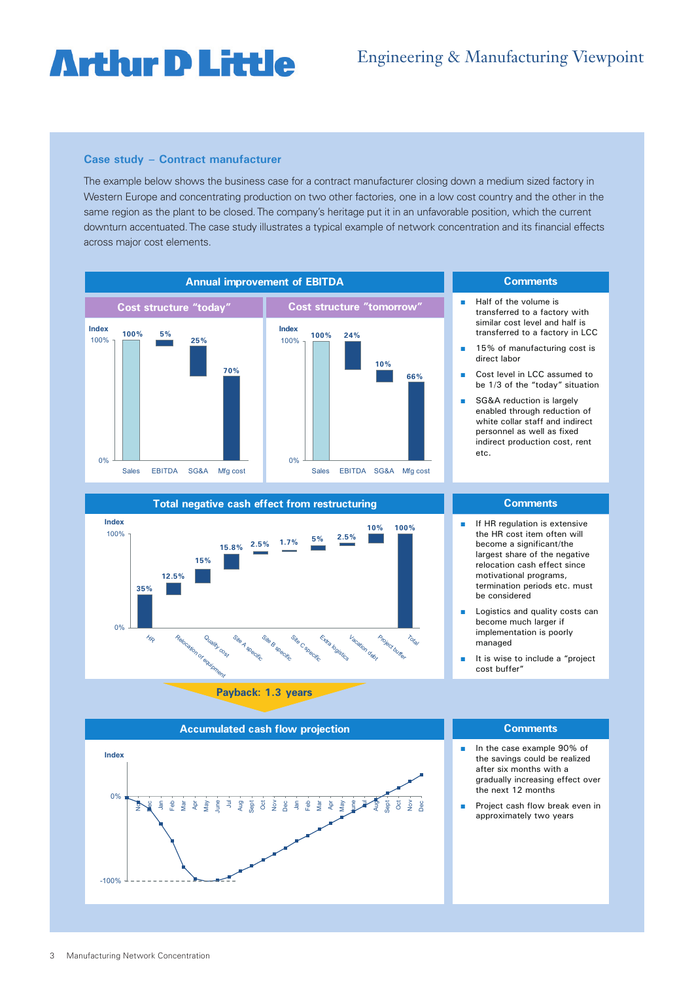### Engineering & Manufacturing Viewpoint

#### **Case study – Contract manufacturer**

The example below shows the business case for a contract manufacturer closing down a medium sized factory in Western Europe and concentrating production on two other factories, one in a low cost country and the other in the same region as the plant to be closed. The company's heritage put it in an unfavorable position, which the current downturn accentuated. The case study illustrates a typical example of network concentration and its financial effects across major cost elements.



-100%